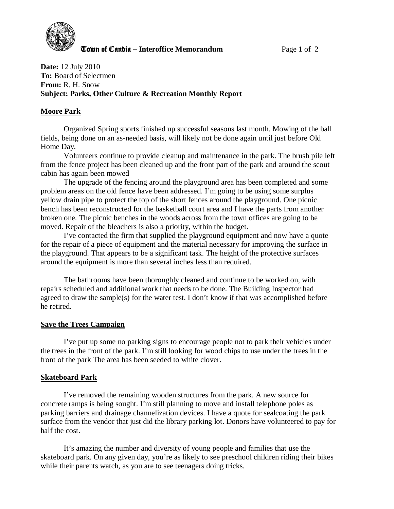

**The United Candia – Interoffice Memorandum Page 1 of 2** 

**Date:** 12 July 2010 **To:** Board of Selectmen **From:** R. H. Snow **Subject: Parks, Other Culture & Recreation Monthly Report** 

# **Moore Park**

Organized Spring sports finished up successful seasons last month. Mowing of the ball fields, being done on an as-needed basis, will likely not be done again until just before Old Home Day.

Volunteers continue to provide cleanup and maintenance in the park. The brush pile left from the fence project has been cleaned up and the front part of the park and around the scout cabin has again been mowed

The upgrade of the fencing around the playground area has been completed and some problem areas on the old fence have been addressed. I'm going to be using some surplus yellow drain pipe to protect the top of the short fences around the playground. One picnic bench has been reconstructed for the basketball court area and I have the parts from another broken one. The picnic benches in the woods across from the town offices are going to be moved. Repair of the bleachers is also a priority, within the budget.

I've contacted the firm that supplied the playground equipment and now have a quote for the repair of a piece of equipment and the material necessary for improving the surface in the playground. That appears to be a significant task. The height of the protective surfaces around the equipment is more than several inches less than required.

The bathrooms have been thoroughly cleaned and continue to be worked on, with repairs scheduled and additional work that needs to be done. The Building Inspector had agreed to draw the sample(s) for the water test. I don't know if that was accomplished before he retired.

### **Save the Trees Campaign**

I've put up some no parking signs to encourage people not to park their vehicles under the trees in the front of the park. I'm still looking for wood chips to use under the trees in the front of the park The area has been seeded to white clover.

# **Skateboard Park**

 I've removed the remaining wooden structures from the park. A new source for concrete ramps is being sought. I'm still planning to move and install telephone poles as parking barriers and drainage channelization devices. I have a quote for sealcoating the park surface from the vendor that just did the library parking lot. Donors have volunteered to pay for half the cost.

It's amazing the number and diversity of young people and families that use the skateboard park. On any given day, you're as likely to see preschool children riding their bikes while their parents watch, as you are to see teenagers doing tricks.